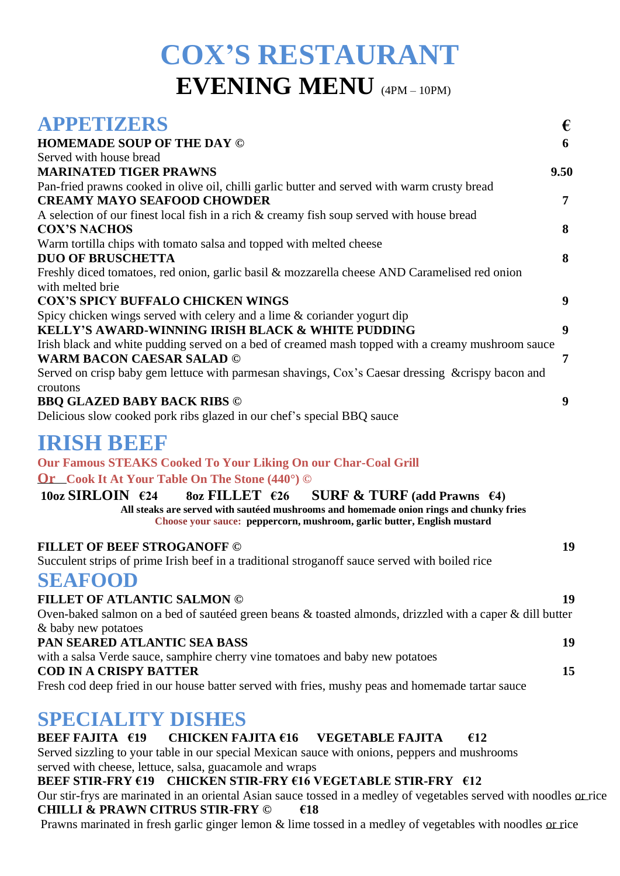# **COX'S RESTAURANT EVENING MENU** (4PM – 10PM)

| <b>APPETIZERS</b>                                                                                                                                                                                                                                                                  | €    |
|------------------------------------------------------------------------------------------------------------------------------------------------------------------------------------------------------------------------------------------------------------------------------------|------|
| <b>HOMEMADE SOUP OF THE DAY ©</b>                                                                                                                                                                                                                                                  | 6    |
| Served with house bread                                                                                                                                                                                                                                                            |      |
| <b>MARINATED TIGER PRAWNS</b>                                                                                                                                                                                                                                                      | 9.50 |
| Pan-fried prawns cooked in olive oil, chilli garlic butter and served with warm crusty bread<br><b>CREAMY MAYO SEAFOOD CHOWDER</b>                                                                                                                                                 | 7    |
| A selection of our finest local fish in a rich & creamy fish soup served with house bread<br><b>COX'S NACHOS</b>                                                                                                                                                                   | 8    |
| Warm tortilla chips with tomato salsa and topped with melted cheese<br><b>DUO OF BRUSCHETTA</b>                                                                                                                                                                                    | 8    |
| Freshly diced tomatoes, red onion, garlic basil & mozzarella cheese AND Caramelised red onion<br>with melted brie                                                                                                                                                                  |      |
| <b>COX'S SPICY BUFFALO CHICKEN WINGS</b>                                                                                                                                                                                                                                           | 9    |
| Spicy chicken wings served with celery and a lime & coriander yogurt dip<br><b>KELLY'S AWARD-WINNING IRISH BLACK &amp; WHITE PUDDING</b>                                                                                                                                           | 9    |
| Irish black and white pudding served on a bed of creamed mash topped with a creamy mushroom sauce                                                                                                                                                                                  |      |
| <b>WARM BACON CAESAR SALAD ©</b>                                                                                                                                                                                                                                                   | 7    |
| Served on crisp baby gem lettuce with parmesan shavings, Cox's Caesar dressing & crispy bacon and                                                                                                                                                                                  |      |
| croutons<br><b>BBQ GLAZED BABY BACK RIBS ©</b><br>Delicious slow cooked pork ribs glazed in our chef's special BBQ sauce                                                                                                                                                           | 9    |
| IRISH BEEF                                                                                                                                                                                                                                                                         |      |
| <b>Our Famous STEAKS Cooked To Your Liking On our Char-Coal Grill</b>                                                                                                                                                                                                              |      |
| <b>Or</b> Cook It At Your Table On The Stone (440°) ©                                                                                                                                                                                                                              |      |
| $10\text{oz}$ SIRLOIN $\epsilon$ 24<br>$8oz$ FILLET $626$<br><b>SURF &amp; TURF</b> (add Prawns $\epsilon$ 4)<br>All steaks are served with sautéed mushrooms and homemade onion rings and chunky fries<br>Choose your sauce: peppercorn, mushroom, garlic butter, English mustard |      |
| <b>FILLET OF BEEF STROGANOFF ©</b>                                                                                                                                                                                                                                                 | 19   |
| Succulent strips of prime Irish beef in a traditional stroganoff sauce served with boiled rice                                                                                                                                                                                     |      |
| <b>SEAFOOD</b>                                                                                                                                                                                                                                                                     |      |
| <b>FILLET OF ATLANTIC SALMON ©</b>                                                                                                                                                                                                                                                 | 19   |
| Oven-baked salmon on a bed of sautéed green beans & toasted almonds, drizzled with a caper & dill butter                                                                                                                                                                           |      |
| & baby new potatoes                                                                                                                                                                                                                                                                |      |
| PAN SEARED ATLANTIC SEA BASS                                                                                                                                                                                                                                                       | 19   |
| with a salsa Verde sauce, samphire cherry vine tomatoes and baby new potatoes                                                                                                                                                                                                      |      |
| <b>COD IN A CRISPY BATTER</b><br>Fresh cod deep fried in our house batter served with fries, mushy peas and homemade tartar sauce                                                                                                                                                  | 15   |
| CDE OLA I JUNI DICITEC                                                                                                                                                                                                                                                             |      |

## **SPECIALITY DISHES**

### **BEEF FAJITA €19 CHICKEN FAJITA €16 VEGETABLE FAJITA €12**

Served sizzling to your table in our special Mexican sauce with onions, peppers and mushrooms served with cheese, lettuce, salsa, guacamole and wraps

### **BEEF STIR-FRY €19 CHICKEN STIR-FRY €16 VEGETABLE STIR-FRY €12**

Our stir-frys are marinated in an oriental Asian sauce tossed in a medley of vegetables served with noodles or rice **CHILLI & PRAWN CITRUS STIR-FRY © €18**

Prawns marinated in fresh garlic ginger lemon & lime tossed in a medley of vegetables with noodles or rice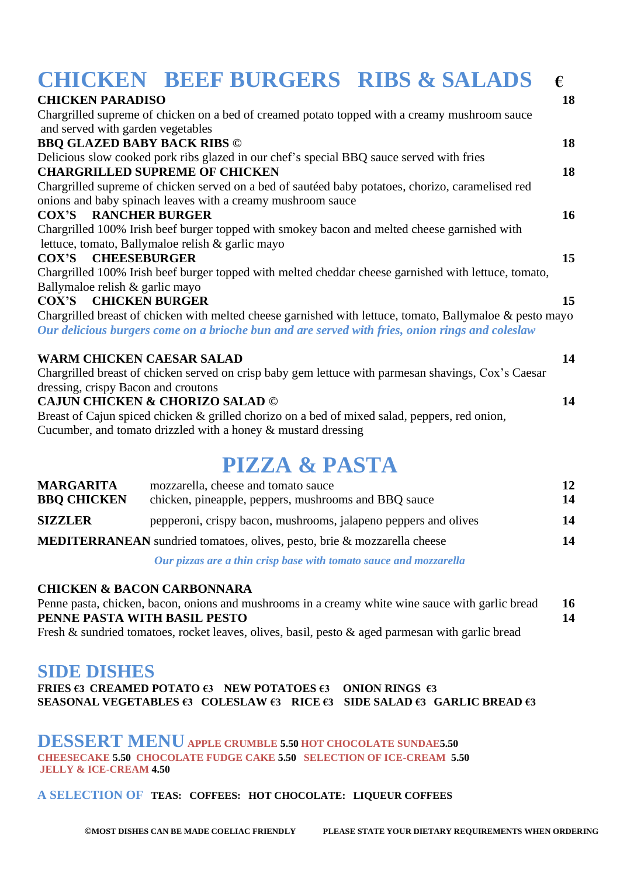| <b>CHICKEN BEEF BURGERS RIBS &amp; SALADS</b>                                                                                                                                                               | €                |
|-------------------------------------------------------------------------------------------------------------------------------------------------------------------------------------------------------------|------------------|
| <b>CHICKEN PARADISO</b>                                                                                                                                                                                     | 18               |
| Chargrilled supreme of chicken on a bed of creamed potato topped with a creamy mushroom sauce                                                                                                               |                  |
| and served with garden vegetables                                                                                                                                                                           |                  |
| <b>BBQ GLAZED BABY BACK RIBS ©</b>                                                                                                                                                                          | 18               |
| Delicious slow cooked pork ribs glazed in our chef's special BBQ sauce served with fries                                                                                                                    |                  |
| <b>CHARGRILLED SUPREME OF CHICKEN</b>                                                                                                                                                                       | 18               |
| Chargrilled supreme of chicken served on a bed of sautéed baby potatoes, chorizo, caramelised red                                                                                                           |                  |
| onions and baby spinach leaves with a creamy mushroom sauce                                                                                                                                                 |                  |
| <b>COX'S RANCHER BURGER</b>                                                                                                                                                                                 | 16               |
| Chargrilled 100% Irish beef burger topped with smokey bacon and melted cheese garnished with                                                                                                                |                  |
| lettuce, tomato, Ballymaloe relish & garlic mayo                                                                                                                                                            |                  |
| COX'S CHEESEBURGER                                                                                                                                                                                          | 15 <sup>15</sup> |
| Chargrilled 100% Irish beef burger topped with melted cheddar cheese garnished with lettuce, tomato,                                                                                                        |                  |
| Ballymaloe relish & garlic mayo                                                                                                                                                                             |                  |
| <b>COX'S CHICKEN BURGER</b>                                                                                                                                                                                 | 15               |
| Chargrilled breast of chicken with melted cheese garnished with lettuce, tomato, Ballymaloe & pesto mayo<br>Our delicious burgers come on a brioche bun and are served with fries, onion rings and coleslaw |                  |
| <b>WARM CHICKEN CAESAR SALAD</b>                                                                                                                                                                            | 14               |
| Chargrilled breast of chicken served on crisp baby gem lettuce with parmesan shavings, Cox's Caesar                                                                                                         |                  |
| dressing, crispy Bacon and croutons                                                                                                                                                                         |                  |
| <b>CAJUN CHICKEN &amp; CHORIZO SALAD ©</b>                                                                                                                                                                  | 14               |
| Breast of Cajun spiced chicken & grilled chorizo on a bed of mixed salad, peppers, red onion,                                                                                                               |                  |
| Cucumber, and tomato drizzled with a honey & mustard dressing                                                                                                                                               |                  |

# **PIZZA & PASTA**

| <b>MARGARITA</b><br><b>BBQ CHICKEN</b>                                          | mozzarella, cheese and tomato sauce<br>chicken, pineapple, peppers, mushrooms and BBQ sauce  | 12<br>14 |
|---------------------------------------------------------------------------------|----------------------------------------------------------------------------------------------|----------|
| <b>SIZZLER</b>                                                                  | pepperoni, crispy bacon, mushrooms, jalapeno peppers and olives                              | 14       |
| <b>MEDITERRANEAN</b> sundried tomatoes, olives, pesto, brie & mozzarella cheese |                                                                                              | 14       |
|                                                                                 | $\alpha$ is the contract of $\alpha$ is the contract of $\alpha$ is the contract of $\alpha$ |          |

*Our pizzas are a thin crisp base with tomato sauce and mozzarella* 

#### **CHICKEN & BACON CARBONNARA**

Penne pasta, chicken, bacon, onions and mushrooms in a creamy white wine sauce with garlic bread 16 **PENNE PASTA WITH BASIL PESTO 14** Fresh & sundried tomatoes, rocket leaves, olives, basil, pesto & aged parmesan with garlic bread

### **SIDE DISHES**

**FRIES €3 CREAMED POTATO €3 NEW POTATOES €3 ONION RINGS €3 SEASONAL VEGETABLES €3 COLESLAW €3 RICE €3 SIDE SALAD €3 GARLIC BREAD €3** 

**DESSERT MENUAPPLE CRUMBLE 5.50 HOT CHOCOLATE SUNDAE5.50 CHEESECAKE 5.50 CHOCOLATE FUDGE CAKE 5.50 SELECTION OF ICE-CREAM 5.50 JELLY & ICE-CREAM 4.50** 

#### **A SELECTION OF TEAS: COFFEES: HOT CHOCOLATE: LIQUEUR COFFEES**